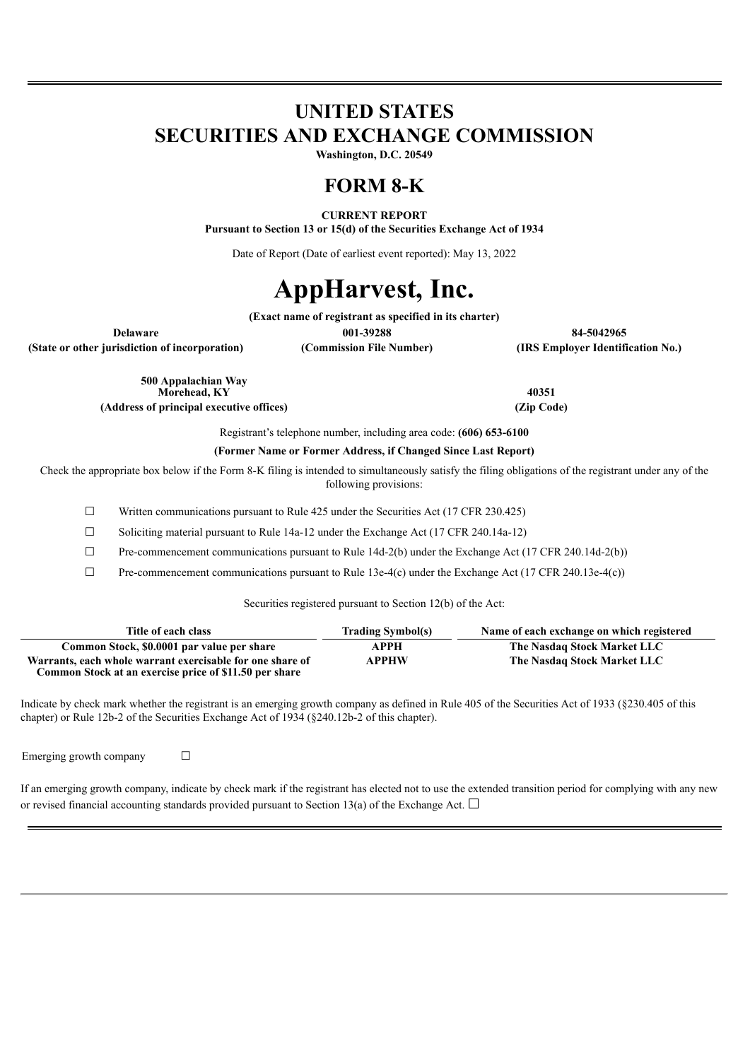## **UNITED STATES SECURITIES AND EXCHANGE COMMISSION**

**Washington, D.C. 20549**

### **FORM 8-K**

**CURRENT REPORT Pursuant to Section 13 or 15(d) of the Securities Exchange Act of 1934**

Date of Report (Date of earliest event reported): May 13, 2022

# **AppHarvest, Inc.**

**(Exact name of registrant as specified in its charter)**

**Delaware 001-39288 84-5042965 (State or other jurisdiction of incorporation) (Commission File Number) (IRS Employer Identification No.)**

> **500 Appalachian Way Morehead, KY 40351 (Address of principal executive offices) (Zip Code)**

Registrant's telephone number, including area code: **(606) 653-6100**

**(Former Name or Former Address, if Changed Since Last Report)**

Check the appropriate box below if the Form 8-K filing is intended to simultaneously satisfy the filing obligations of the registrant under any of the following provisions:

 $\Box$  Written communications pursuant to Rule 425 under the Securities Act (17 CFR 230.425)

☐ Soliciting material pursuant to Rule 14a-12 under the Exchange Act (17 CFR 240.14a-12)

 $\Box$  Pre-commencement communications pursuant to Rule 14d-2(b) under the Exchange Act (17 CFR 240.14d-2(b))

 $\Box$  Pre-commencement communications pursuant to Rule 13e-4(c) under the Exchange Act (17 CFR 240.13e-4(c))

Securities registered pursuant to Section 12(b) of the Act:

| Title of each class                                                                                                 | <b>Trading Symbol(s)</b> | Name of each exchange on which registered |
|---------------------------------------------------------------------------------------------------------------------|--------------------------|-------------------------------------------|
| Common Stock, \$0.0001 par value per share                                                                          | АРРН                     | The Nasdaq Stock Market LLC               |
| Warrants, each whole warrant exercisable for one share of<br>Common Stock at an exercise price of \$11.50 per share | <b>APPHW</b>             | The Nasdaq Stock Market LLC               |

Indicate by check mark whether the registrant is an emerging growth company as defined in Rule 405 of the Securities Act of 1933 (§230.405 of this chapter) or Rule 12b-2 of the Securities Exchange Act of 1934 (§240.12b-2 of this chapter).

Emerging growth company  $\Box$ 

| If an emerging growth company, indicate by check mark if the registrant has elected not to use the extended transition period for complying with any new |
|----------------------------------------------------------------------------------------------------------------------------------------------------------|
| or revised financial accounting standards provided pursuant to Section 13(a) of the Exchange Act. $\Box$                                                 |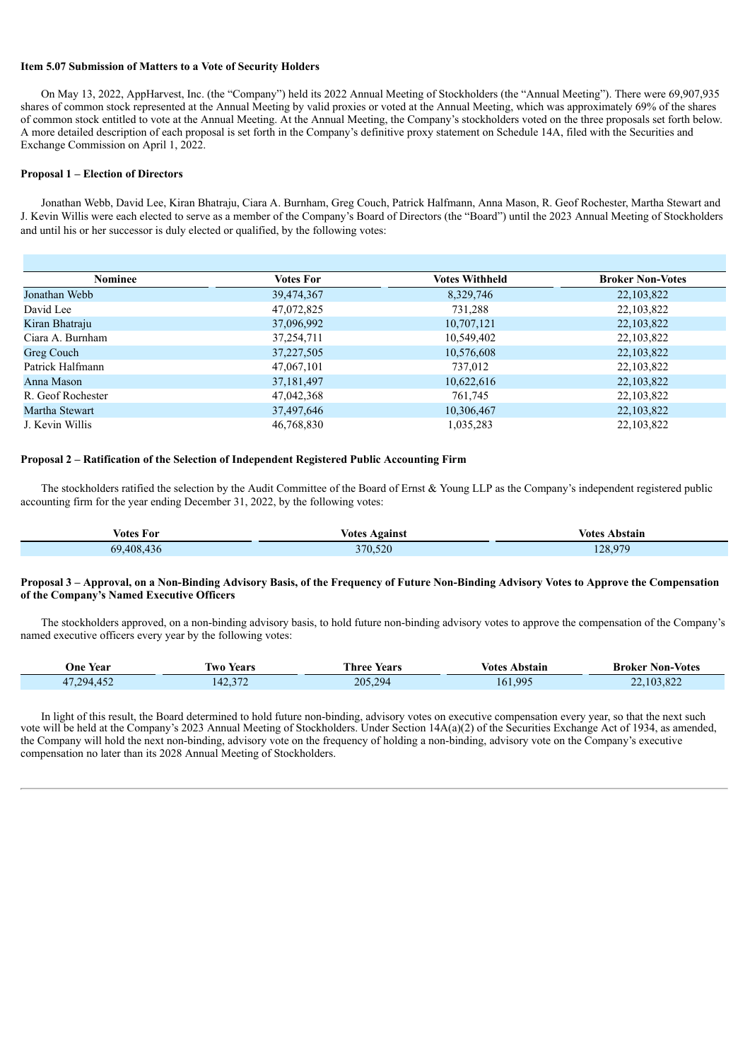#### **Item 5.07 Submission of Matters to a Vote of Security Holders**

On May 13, 2022, AppHarvest, Inc. (the "Company") held its 2022 Annual Meeting of Stockholders (the "Annual Meeting"). There were 69,907,935 shares of common stock represented at the Annual Meeting by valid proxies or voted at the Annual Meeting, which was approximately 69% of the shares of common stock entitled to vote at the Annual Meeting. At the Annual Meeting, the Company's stockholders voted on the three proposals set forth below. A more detailed description of each proposal is set forth in the Company's definitive proxy statement on Schedule 14A, filed with the Securities and Exchange Commission on April 1, 2022.

#### **Proposal 1 – Election of Directors**

Jonathan Webb, David Lee, Kiran Bhatraju, Ciara A. Burnham, Greg Couch, Patrick Halfmann, Anna Mason, R. Geof Rochester, Martha Stewart and J. Kevin Willis were each elected to serve as a member of the Company's Board of Directors (the "Board") until the 2023 Annual Meeting of Stockholders and until his or her successor is duly elected or qualified, by the following votes:

| Votes For    | <b>Votes Withheld</b> | <b>Broker Non-Votes</b> |
|--------------|-----------------------|-------------------------|
| 39,474,367   | 8,329,746             | 22,103,822              |
| 47,072,825   | 731,288               | 22, 103, 822            |
| 37,096,992   | 10,707,121            | 22, 103, 822            |
| 37,254,711   | 10,549,402            | 22,103,822              |
| 37,227,505   | 10,576,608            | 22, 103, 822            |
| 47,067,101   | 737,012               | 22,103,822              |
| 37, 181, 497 | 10,622,616            | 22, 103, 822            |
| 47,042,368   | 761,745               | 22,103,822              |
| 37,497,646   | 10,306,467            | 22,103,822              |
| 46,768,830   | 1,035,283             | 22, 103, 822            |
|              |                       |                         |

#### **Proposal 2 – Ratification of the Selection of Independent Registered Public Accounting Firm**

The stockholders ratified the selection by the Audit Committee of the Board of Ernst & Young LLP as the Company's independent registered public accounting firm for the year ending December 31, 2022, by the following votes:

| votes For  | <b>Votes Against</b><br>. | Votes Abstain<br>. |
|------------|---------------------------|--------------------|
| 69.408.436 | 370,520                   | 128,979            |

#### Proposal 3 - Approval, on a Non-Binding Advisory Basis, of the Frequency of Future Non-Binding Advisory Votes to Approve the Compensation **of the Company's Named Executive Officers**

The stockholders approved, on a non-binding advisory basis, to hold future non-binding advisory votes to approve the compensation of the Company's named executive officers every year by the following votes:

| One Year                         | Years<br>l WO- | l'hree Years | ∕otes<br>Abstain        | <b>Broker Non-Votes</b> |
|----------------------------------|----------------|--------------|-------------------------|-------------------------|
| $A^{\epsilon}$<br>17.294<br>41.4 | 142.374        | 205,294      | 99 <sup>4</sup><br>161. | .103.822                |

In light of this result, the Board determined to hold future non-binding, advisory votes on executive compensation every year, so that the next such vote will be held at the Company's 2023 Annual Meeting of Stockholders. Under Section 14A(a)(2) of the Securities Exchange Act of 1934, as amended, the Company will hold the next non-binding, advisory vote on the frequency of holding a non-binding, advisory vote on the Company's executive compensation no later than its 2028 Annual Meeting of Stockholders.